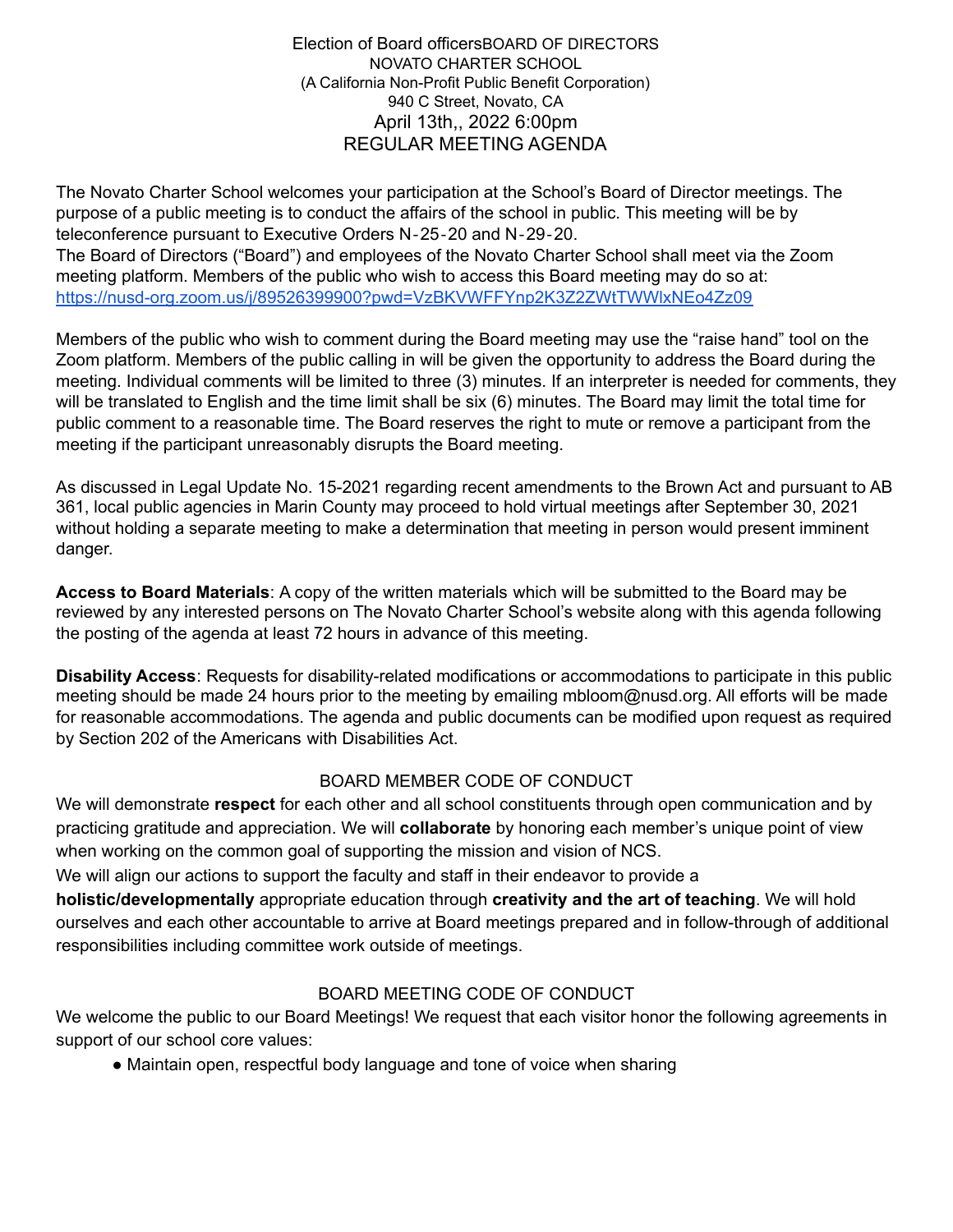The Novato Charter School welcomes your participation at the School's Board of Director meetings. The purpose of a public meeting is to conduct the affairs of the school in public. This meeting will be by teleconference pursuant to Executive Orders N‐25‐20 and N‐29‐20.

The Board of Directors ("Board") and employees of the Novato Charter School shall meet via the Zoom meeting platform. Members of the public who wish to access this Board meeting may do so at: https://nusd-org.zoom.us/j/89526399900?pwd=VzBKVWFFYnp2K3Z2ZWtTWWlxNEo4Zz09

Members of the public who wish to comment during the Board meeting may use the "raise hand" tool on the Zoom platform. Members of the public calling in will be given the opportunity to address the Board during the meeting. Individual comments will be limited to three (3) minutes. If an interpreter is needed for comments, they will be translated to English and the time limit shall be six (6) minutes. The Board may limit the total time for public comment to a reasonable time. The Board reserves the right to mute or remove a participant from the meeting if the participant unreasonably disrupts the Board meeting.

As discussed in Legal Update No. 15-2021 regarding recent amendments to the Brown Act and pursuant to AB 361, local public agencies in Marin County may proceed to hold virtual meetings after September 30, 2021 without holding a separate meeting to make a determination that meeting in person would present imminent danger.

**Access to Board Materials**: A copy of the written materials which will be submitted to the Board may be reviewed by any interested persons on The Novato Charter School's website along with this agenda following the posting of the agenda at least 72 hours in advance of this meeting.

**Disability Access**: Requests for disability-related modifications or accommodations to participate in this public meeting should be made 24 hours prior to the meeting by emailing mbloom@nusd.org. All efforts will be made for reasonable accommodations. The agenda and public documents can be modified upon request as required by Section 202 of the Americans with Disabilities Act.

### BOARD MEMBER CODE OF CONDUCT

We will demonstrate **respect** for each other and all school constituents through open communication and by practicing gratitude and appreciation. We will **collaborate** by honoring each member's unique point of view when working on the common goal of supporting the mission and vision of NCS.

We will align our actions to support the faculty and staff in their endeavor to provide a

**holistic/developmentally** appropriate education through **creativity and the art of teaching**. We will hold ourselves and each other accountable to arrive at Board meetings prepared and in follow-through of additional responsibilities including committee work outside of meetings.

# BOARD MEETING CODE OF CONDUCT

We welcome the public to our Board Meetings! We request that each visitor honor the following agreements in support of our school core values:

• Maintain open, respectful body language and tone of voice when sharing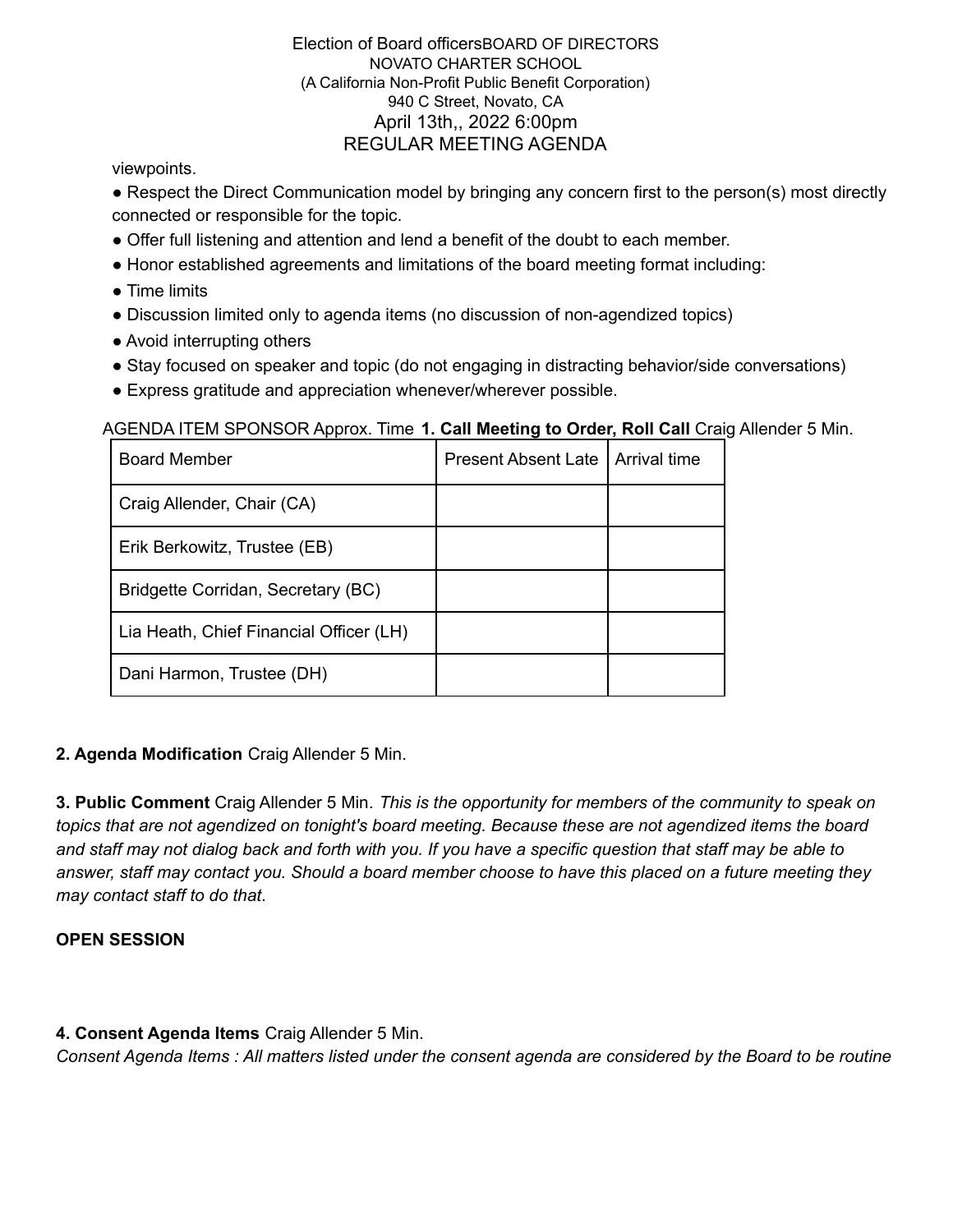viewpoints.

• Respect the Direct Communication model by bringing any concern first to the person(s) most directly connected or responsible for the topic.

- Offer full listening and attention and lend a benefit of the doubt to each member.
- Honor established agreements and limitations of the board meeting format including:
- Time limits
- Discussion limited only to agenda items (no discussion of non-agendized topics)
- Avoid interrupting others
- Stay focused on speaker and topic (do not engaging in distracting behavior/side conversations)
- Express gratitude and appreciation whenever/wherever possible.

AGENDA ITEM SPONSOR Approx. Time **1. Call Meeting to Order, Roll Call** Craig Allender 5 Min.

| <b>Board Member</b>                     | <b>Present Absent Late</b> | Arrival time |
|-----------------------------------------|----------------------------|--------------|
| Craig Allender, Chair (CA)              |                            |              |
| Erik Berkowitz, Trustee (EB)            |                            |              |
| Bridgette Corridan, Secretary (BC)      |                            |              |
| Lia Heath, Chief Financial Officer (LH) |                            |              |
| Dani Harmon, Trustee (DH)               |                            |              |

### **2. Agenda Modification** Craig Allender 5 Min.

**3. Public Comment** Craig Allender 5 Min. *This is the opportunity for members of the community to speak on topics that are not agendized on tonight's board meeting. Because these are not agendized items the board* and staff may not dialog back and forth with you. If you have a specific question that staff may be able to answer, staff may contact you. Should a board member choose to have this placed on a future meeting they *may contact staff to do that*.

# **OPEN SESSION**

**4. Consent Agenda Items** Craig Allender 5 Min.

Consent Agenda Items : All matters listed under the consent agenda are considered by the Board to be routine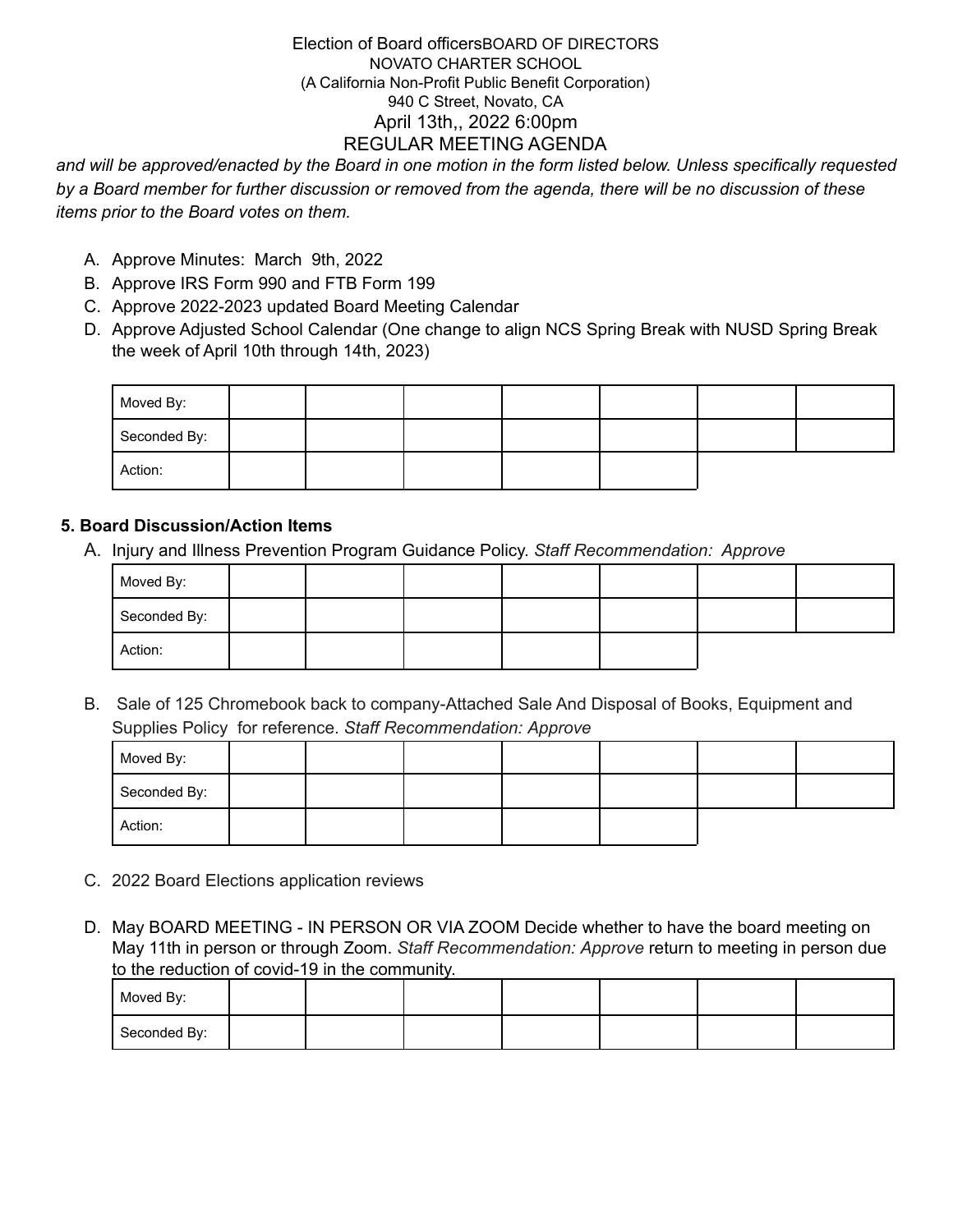and will be approved/enacted by the Board in one motion in the form listed below. Unless specifically requested by a Board member for further discussion or removed from the agenda, there will be no discussion of these *items prior to the Board votes on them.*

- A. Approve Minutes: March 9th, 2022
- B. Approve IRS Form 990 and FTB Form 199
- C. Approve 2022-2023 updated Board Meeting Calendar
- D. Approve Adjusted School Calendar (One change to align NCS Spring Break with NUSD Spring Break the week of April 10th through 14th, 2023)

| Moved By:    |  |  |  |  |
|--------------|--|--|--|--|
| Seconded By: |  |  |  |  |
| Action:      |  |  |  |  |

## **5. Board Discussion/Action Items**

A. Injury and Illness Prevention Program Guidance Policy. *Staff Recommendation: Approve*

| Moved By:    |  |  |  |  |
|--------------|--|--|--|--|
| Seconded By: |  |  |  |  |
| Action:      |  |  |  |  |

B. Sale of 125 Chromebook back to company-Attached Sale And Disposal of Books, Equipment and Supplies Policy for reference. *Staff Recommendation: Approve*

| Moved By:    |  |  |  |  |
|--------------|--|--|--|--|
| Seconded By: |  |  |  |  |
| Action:      |  |  |  |  |

- C. 2022 Board Elections application reviews
- D. May BOARD MEETING IN PERSON OR VIA ZOOM Decide whether to have the board meeting on May 11th in person or through Zoom. *Staff Recommendation: Approve* return to meeting in person due to the reduction of covid-19 in the community.

| Moved By:    |  |  |  |  |
|--------------|--|--|--|--|
| Seconded By: |  |  |  |  |